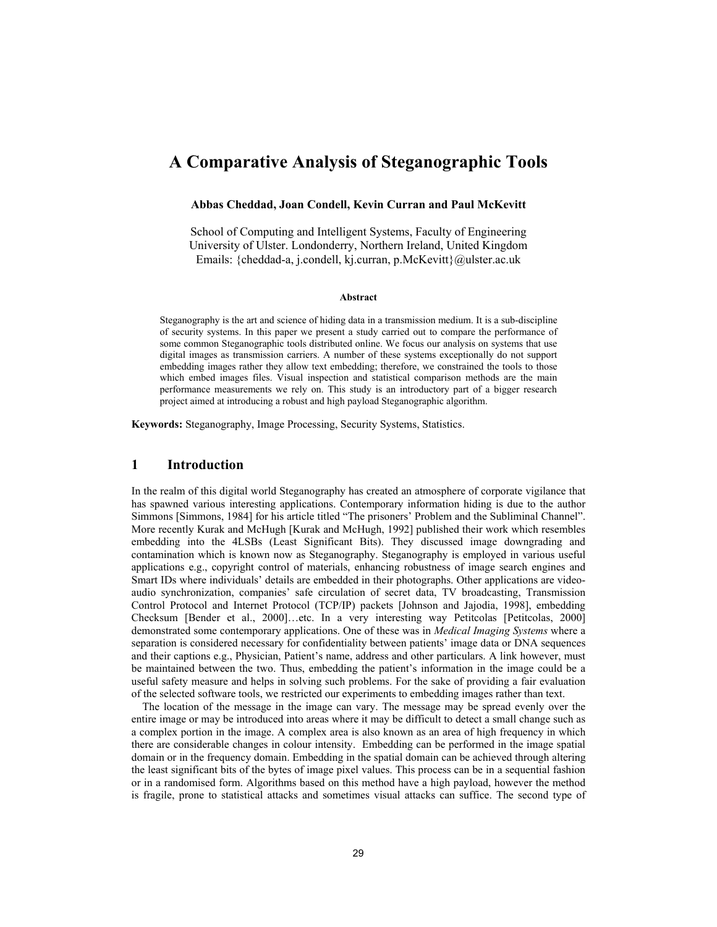# **A Comparative Analysis of Steganographic Tools**

### **Abbas Cheddad, Joan Condell, Kevin Curran and Paul McKevitt**

School of Computing and Intelligent Systems, Faculty of Engineering University of Ulster. Londonderry, Northern Ireland, United Kingdom Emails: {cheddad-a, j.condell, kj.curran, p.McKevitt}@ulster.ac.uk

#### **Abstract**

Steganography is the art and science of hiding data in a transmission medium. It is a sub-discipline of security systems. In this paper we present a study carried out to compare the performance of some common Steganographic tools distributed online. We focus our analysis on systems that use digital images as transmission carriers. A number of these systems exceptionally do not support embedding images rather they allow text embedding; therefore, we constrained the tools to those which embed images files. Visual inspection and statistical comparison methods are the main performance measurements we rely on. This study is an introductory part of a bigger research project aimed at introducing a robust and high payload Steganographic algorithm.

**Keywords:** Steganography, Image Processing, Security Systems, Statistics.

# **1 Introduction**

In the realm of this digital world Steganography has created an atmosphere of corporate vigilance that has spawned various interesting applications. Contemporary information hiding is due to the author Simmons [Simmons, 1984] for his article titled "The prisoners' Problem and the Subliminal Channel". More recently Kurak and McHugh [Kurak and McHugh, 1992] published their work which resembles embedding into the 4LSBs (Least Significant Bits). They discussed image downgrading and contamination which is known now as Steganography. Steganography is employed in various useful applications e.g., copyright control of materials, enhancing robustness of image search engines and Smart IDs where individuals' details are embedded in their photographs. Other applications are videoaudio synchronization, companies' safe circulation of secret data, TV broadcasting, Transmission Control Protocol and Internet Protocol (TCP/IP) packets [Johnson and Jajodia, 1998], embedding Checksum [Bender et al., 2000]…etc. In a very interesting way Petitcolas [Petitcolas, 2000] demonstrated some contemporary applications. One of these was in *Medical Imaging Systems* where a separation is considered necessary for confidentiality between patients' image data or DNA sequences and their captions e.g., Physician, Patient's name, address and other particulars. A link however, must be maintained between the two. Thus, embedding the patient's information in the image could be a useful safety measure and helps in solving such problems. For the sake of providing a fair evaluation of the selected software tools, we restricted our experiments to embedding images rather than text.

 The location of the message in the image can vary. The message may be spread evenly over the entire image or may be introduced into areas where it may be difficult to detect a small change such as a complex portion in the image. A complex area is also known as an area of high frequency in which there are considerable changes in colour intensity. Embedding can be performed in the image spatial domain or in the frequency domain. Embedding in the spatial domain can be achieved through altering the least significant bits of the bytes of image pixel values. This process can be in a sequential fashion or in a randomised form. Algorithms based on this method have a high payload, however the method is fragile, prone to statistical attacks and sometimes visual attacks can suffice. The second type of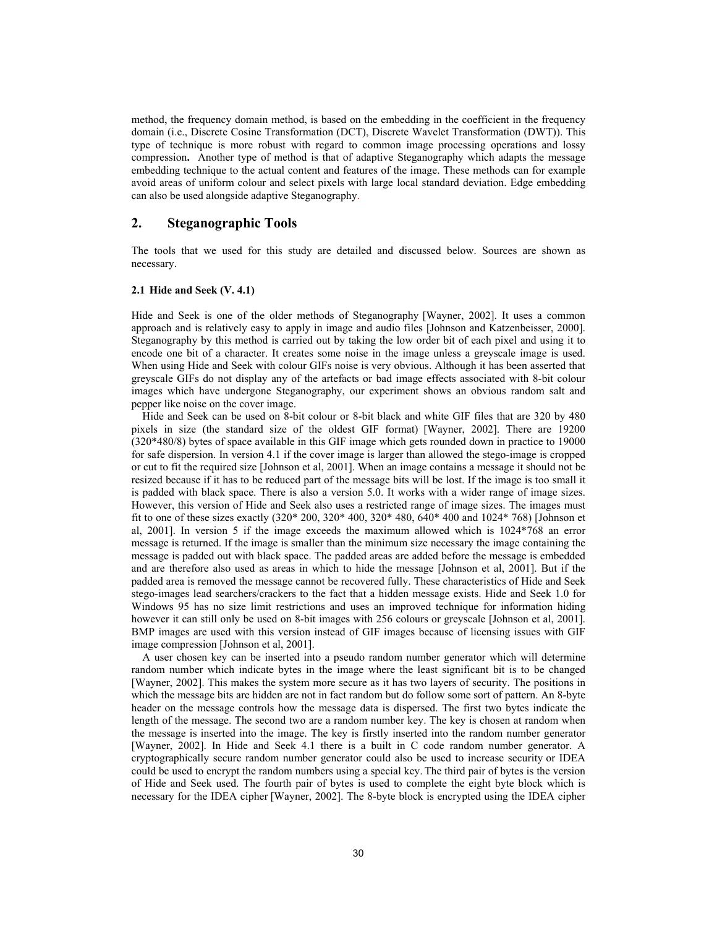method, the frequency domain method, is based on the embedding in the coefficient in the frequency domain (i.e., Discrete Cosine Transformation (DCT), Discrete Wavelet Transformation (DWT)). This type of technique is more robust with regard to common image processing operations and lossy compression**.** Another type of method is that of adaptive Steganography which adapts the message embedding technique to the actual content and features of the image. These methods can for example avoid areas of uniform colour and select pixels with large local standard deviation. Edge embedding can also be used alongside adaptive Steganography.

# **2. Steganographic Tools**

The tools that we used for this study are detailed and discussed below. Sources are shown as necessary.

### **2.1 Hide and Seek (V. 4.1)**

Hide and Seek is one of the older methods of Steganography [Wayner, 2002]. It uses a common approach and is relatively easy to apply in image and audio files [Johnson and Katzenbeisser, 2000]. Steganography by this method is carried out by taking the low order bit of each pixel and using it to encode one bit of a character. It creates some noise in the image unless a greyscale image is used. When using Hide and Seek with colour GIFs noise is very obvious. Although it has been asserted that greyscale GIFs do not display any of the artefacts or bad image effects associated with 8-bit colour images which have undergone Steganography, our experiment shows an obvious random salt and pepper like noise on the cover image.

 Hide and Seek can be used on 8-bit colour or 8-bit black and white GIF files that are 320 by 480 pixels in size (the standard size of the oldest GIF format) [Wayner, 2002]. There are 19200 (320\*480/8) bytes of space available in this GIF image which gets rounded down in practice to 19000 for safe dispersion. In version 4.1 if the cover image is larger than allowed the stego-image is cropped or cut to fit the required size [Johnson et al, 2001]. When an image contains a message it should not be resized because if it has to be reduced part of the message bits will be lost. If the image is too small it is padded with black space. There is also a version 5.0. It works with a wider range of image sizes. However, this version of Hide and Seek also uses a restricted range of image sizes. The images must fit to one of these sizes exactly (320\* 200, 320\* 400, 320\* 480, 640\* 400 and 1024\* 768) [Johnson et al, 2001]. In version 5 if the image exceeds the maximum allowed which is 1024\*768 an error message is returned. If the image is smaller than the minimum size necessary the image containing the message is padded out with black space. The padded areas are added before the message is embedded and are therefore also used as areas in which to hide the message [Johnson et al, 2001]. But if the padded area is removed the message cannot be recovered fully. These characteristics of Hide and Seek stego-images lead searchers/crackers to the fact that a hidden message exists. Hide and Seek 1.0 for Windows 95 has no size limit restrictions and uses an improved technique for information hiding however it can still only be used on 8-bit images with 256 colours or greyscale [Johnson et al, 2001]. BMP images are used with this version instead of GIF images because of licensing issues with GIF image compression [Johnson et al, 2001].

 A user chosen key can be inserted into a pseudo random number generator which will determine random number which indicate bytes in the image where the least significant bit is to be changed [Wayner, 2002]. This makes the system more secure as it has two layers of security. The positions in which the message bits are hidden are not in fact random but do follow some sort of pattern. An 8-byte header on the message controls how the message data is dispersed. The first two bytes indicate the length of the message. The second two are a random number key. The key is chosen at random when the message is inserted into the image. The key is firstly inserted into the random number generator [Wayner, 2002]. In Hide and Seek 4.1 there is a built in C code random number generator. A cryptographically secure random number generator could also be used to increase security or IDEA could be used to encrypt the random numbers using a special key. The third pair of bytes is the version of Hide and Seek used. The fourth pair of bytes is used to complete the eight byte block which is necessary for the IDEA cipher [Wayner, 2002]. The 8-byte block is encrypted using the IDEA cipher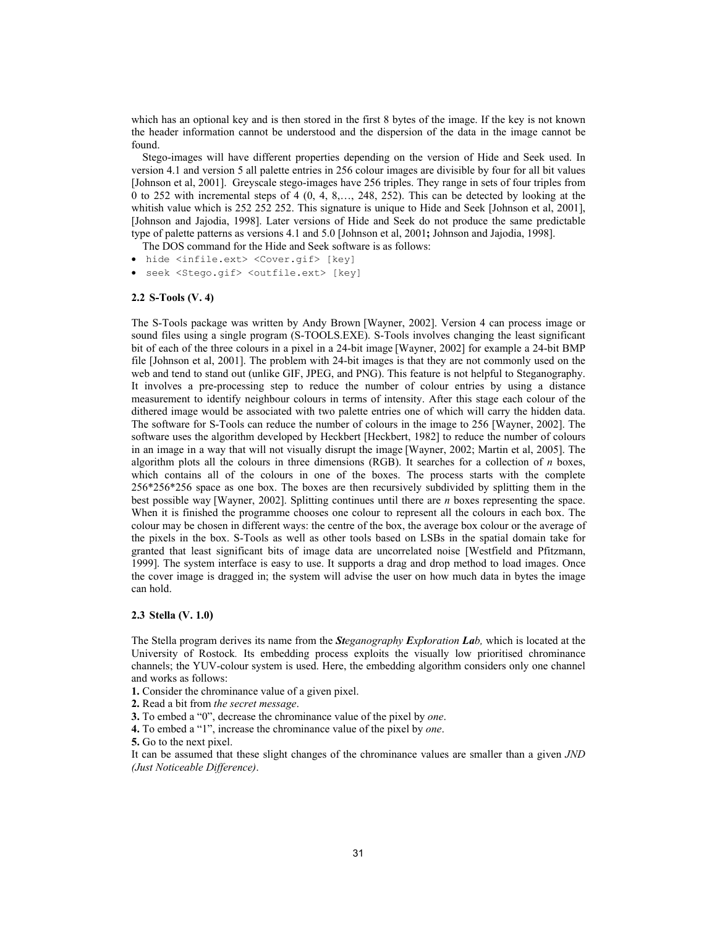which has an optional key and is then stored in the first 8 bytes of the image. If the key is not known the header information cannot be understood and the dispersion of the data in the image cannot be found.

 Stego-images will have different properties depending on the version of Hide and Seek used. In version 4.1 and version 5 all palette entries in 256 colour images are divisible by four for all bit values [Johnson et al, 2001]. Greyscale stego-images have 256 triples. They range in sets of four triples from 0 to 252 with incremental steps of 4 (0, 4, 8,…, 248, 252). This can be detected by looking at the whitish value which is 252 252 252. This signature is unique to Hide and Seek [Johnson et al, 2001], [Johnson and Jajodia, 1998]. Later versions of Hide and Seek do not produce the same predictable type of palette patterns as versions 4.1 and 5.0 [Johnson et al, 2001**;** Johnson and Jajodia, 1998].

The DOS command for the Hide and Seek software is as follows:

- hide <infile.ext> <Cover.gif> [key]
- seek <Stego.gif> <outfile.ext> [key]

### **2.2 S-Tools (V. 4)**

The S-Tools package was written by Andy Brown [Wayner, 2002]. Version 4 can process image or sound files using a single program (S-TOOLS.EXE). S-Tools involves changing the least significant bit of each of the three colours in a pixel in a 24-bit image [Wayner, 2002] for example a 24-bit BMP file [Johnson et al, 2001]. The problem with 24-bit images is that they are not commonly used on the web and tend to stand out (unlike GIF, JPEG, and PNG). This feature is not helpful to Steganography. It involves a pre-processing step to reduce the number of colour entries by using a distance measurement to identify neighbour colours in terms of intensity. After this stage each colour of the dithered image would be associated with two palette entries one of which will carry the hidden data. The software for S-Tools can reduce the number of colours in the image to 256 [Wayner, 2002]. The software uses the algorithm developed by Heckbert [Heckbert, 1982] to reduce the number of colours in an image in a way that will not visually disrupt the image [Wayner, 2002; Martin et al, 2005]. The algorithm plots all the colours in three dimensions (RGB). It searches for a collection of *n* boxes, which contains all of the colours in one of the boxes. The process starts with the complete 256\*256\*256 space as one box. The boxes are then recursively subdivided by splitting them in the best possible way [Wayner, 2002]. Splitting continues until there are *n* boxes representing the space. When it is finished the programme chooses one colour to represent all the colours in each box. The colour may be chosen in different ways: the centre of the box, the average box colour or the average of the pixels in the box. S-Tools as well as other tools based on LSBs in the spatial domain take for granted that least significant bits of image data are uncorrelated noise [Westfield and Pfitzmann, 1999]. The system interface is easy to use. It supports a drag and drop method to load images. Once the cover image is dragged in; the system will advise the user on how much data in bytes the image can hold.

### **2.3 Stella (V. 1.0)**

The Stella program derives its name from the *Steganography Exploration Lab,* which is located at the University of Rostock*.* Its embedding process exploits the visually low prioritised chrominance channels; the YUV-colour system is used. Here, the embedding algorithm considers only one channel and works as follows:

- **1.** Consider the chrominance value of a given pixel.
- **2.** Read a bit from *the secret message*.
- **3.** To embed a "0", decrease the chrominance value of the pixel by *one*.
- **4.** To embed a "1", increase the chrominance value of the pixel by *one*.

**5.** Go to the next pixel.

It can be assumed that these slight changes of the chrominance values are smaller than a given *JND (Just Noticeable Difference)*.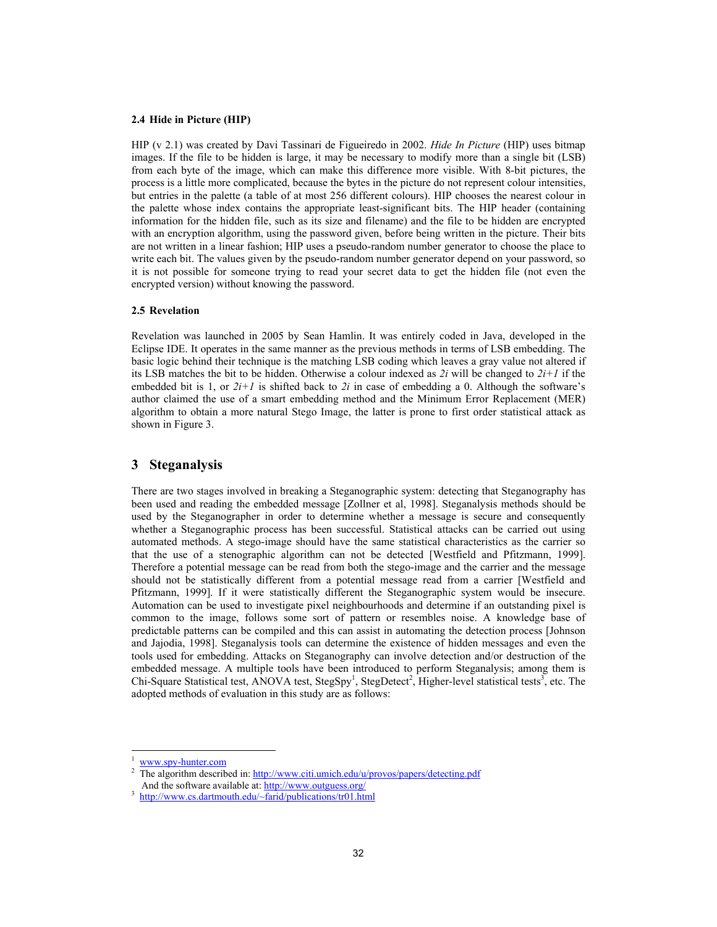#### **2.4 Hide in Picture (HIP)**

HIP (v 2.1) was created by Davi Tassinari de Figueiredo in 2002. *Hide In Picture* (HIP) uses bitmap images. If the file to be hidden is large, it may be necessary to modify more than a single bit (LSB) from each byte of the image, which can make this difference more visible. With 8-bit pictures, the process is a little more complicated, because the bytes in the picture do not represent colour intensities, but entries in the palette (a table of at most 256 different colours). HIP chooses the nearest colour in the palette whose index contains the appropriate least-significant bits. The HIP header (containing information for the hidden file, such as its size and filename) and the file to be hidden are encrypted with an encryption algorithm, using the password given, before being written in the picture. Their bits are not written in a linear fashion; HIP uses a pseudo-random number generator to choose the place to write each bit. The values given by the pseudo-random number generator depend on your password, so it is not possible for someone trying to read your secret data to get the hidden file (not even the encrypted version) without knowing the password.

### **2.5 Revelation**

Revelation was launched in 2005 by Sean Hamlin. It was entirely coded in Java, developed in the Eclipse IDE. It operates in the same manner as the previous methods in terms of LSB embedding. The basic logic behind their technique is the matching LSB coding which leaves a gray value not altered if its LSB matches the bit to be hidden. Otherwise a colour indexed as  $2i$  will be changed to  $2i+1$  if the embedded bit is 1, or  $2i+1$  is shifted back to  $2i$  in case of embedding a 0. Although the software's author claimed the use of a smart embedding method and the Minimum Error Replacement (MER) algorithm to obtain a more natural Stego Image, the latter is prone to first order statistical attack as shown in Figure 3.

# **3 Steganalysis**

There are two stages involved in breaking a Steganographic system: detecting that Steganography has been used and reading the embedded message [Zollner et al, 1998]. Steganalysis methods should be used by the Steganographer in order to determine whether a message is secure and consequently whether a Steganographic process has been successful. Statistical attacks can be carried out using automated methods. A stego-image should have the same statistical characteristics as the carrier so that the use of a stenographic algorithm can not be detected [Westfield and Pfitzmann, 1999]. Therefore a potential message can be read from both the stego-image and the carrier and the message should not be statistically different from a potential message read from a carrier [Westfield and Pfitzmann, 1999]. If it were statistically different the Steganographic system would be insecure. Automation can be used to investigate pixel neighbourhoods and determine if an outstanding pixel is common to the image, follows some sort of pattern or resembles noise. A knowledge base of predictable patterns can be compiled and this can assist in automating the detection process [Johnson and Jajodia, 1998]. Steganalysis tools can determine the existence of hidden messages and even the tools used for embedding. Attacks on Steganography can involve detection and/or destruction of the embedded message. A multiple tools have been introduced to perform Steganalysis; among them is Chi-Square Statistical test, ANOVA test, StegSpy<sup>1</sup>, StegDetect<sup>2</sup>, Higher-level statistical tests<sup>3</sup>, etc. The adopted methods of evaluation in this study are as follows:

www.spy-hunter.com 2

The algorithm described in: http://www.citi.umich.edu/u/provos/papers/detecting.pdf And the software available at: http://www.outguess.org/

<sup>3</sup> http://www.cs.dartmouth.edu/~farid/publications/tr01.html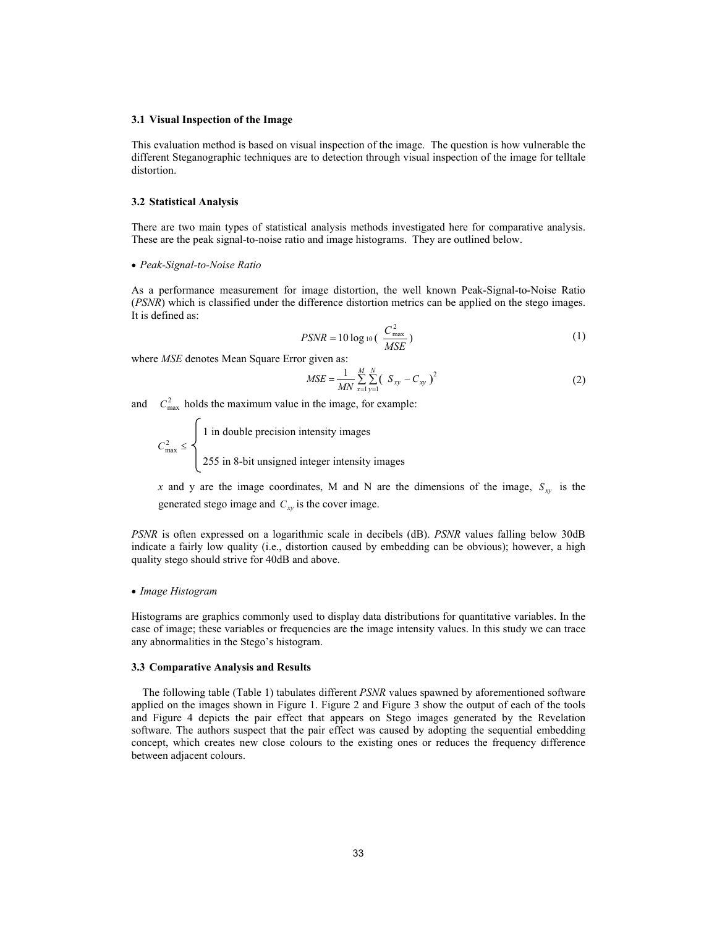#### **3.1 Visual Inspection of the Image**

This evaluation method is based on visual inspection of the image. The question is how vulnerable the different Steganographic techniques are to detection through visual inspection of the image for telltale distortion.

#### **3.2 Statistical Analysis**

There are two main types of statistical analysis methods investigated here for comparative analysis. These are the peak signal-to-noise ratio and image histograms. They are outlined below.

#### x *Peak-Signal-to-Noise Ratio*

As a performance measurement for image distortion, the well known Peak-Signal-to-Noise Ratio (*PSNR*) which is classified under the difference distortion metrics can be applied on the stego images. It is defined as:

$$
PSNR = 10 \log_{10} \left( \frac{C_{\text{max}}^2}{MSE} \right) \tag{1}
$$

where *MSE* denotes Mean Square Error given as:

$$
MSE = \frac{1}{MN} \sum_{x=1}^{M} \sum_{y=1}^{N} (S_{xy} - C_{xy})^2
$$
 (2)

and  $C_{\text{max}}^2$  holds the maximum value in the image, for example:

 1 in double precision intensity images  $C_{\text{max}}^2 \leq$ 255 in 8-bit unsigned integer intensity images

*x* and y are the image coordinates, M and N are the dimensions of the image,  $S_{xy}$  is the generated stego image and  $C_{xy}$  is the cover image.

*PSNR* is often expressed on a logarithmic scale in decibels (dB). *PSNR* values falling below 30dB indicate a fairly low quality (i.e., distortion caused by embedding can be obvious); however, a high quality stego should strive for 40dB and above.

### x *Image Histogram*

Histograms are graphics commonly used to display data distributions for quantitative variables. In the case of image; these variables or frequencies are the image intensity values. In this study we can trace any abnormalities in the Stego's histogram.

#### **3.3 Comparative Analysis and Results**

The following table (Table 1) tabulates different *PSNR* values spawned by aforementioned software applied on the images shown in Figure 1. Figure 2 and Figure 3 show the output of each of the tools and Figure 4 depicts the pair effect that appears on Stego images generated by the Revelation software. The authors suspect that the pair effect was caused by adopting the sequential embedding concept, which creates new close colours to the existing ones or reduces the frequency difference between adjacent colours.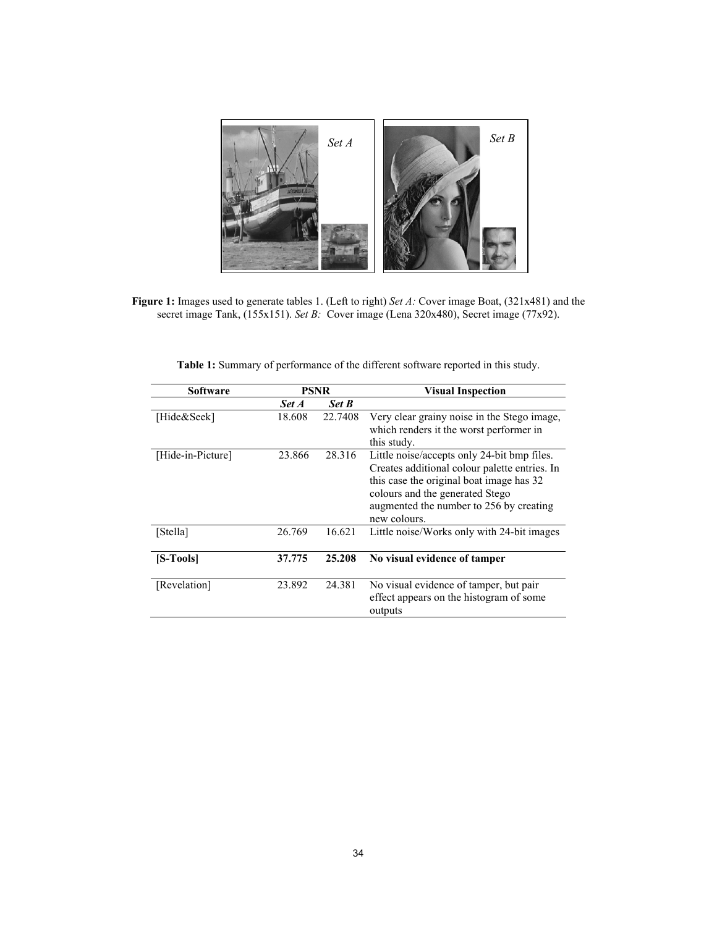

**Figure 1:** Images used to generate tables 1. (Left to right) *Set A:* Cover image Boat, (321x481) and the secret image Tank, (155x151). *Set B:* Cover image (Lena 320x480), Secret image (77x92).

| Table 1: Summary of performance of the different software reported in this study. |  |  |  |  |  |  |  |  |
|-----------------------------------------------------------------------------------|--|--|--|--|--|--|--|--|
|-----------------------------------------------------------------------------------|--|--|--|--|--|--|--|--|

| Software          | <b>PSNR</b> |              | <b>Visual Inspection</b>                      |  |  |
|-------------------|-------------|--------------|-----------------------------------------------|--|--|
|                   | Set A       | <b>Set B</b> |                                               |  |  |
| [Hide&Seek]       | 18.608      | 22.7408      | Very clear grainy noise in the Stego image,   |  |  |
|                   |             |              | which renders it the worst performer in       |  |  |
|                   |             |              | this study.                                   |  |  |
| [Hide-in-Picture] | 23.866      | 28.316       | Little noise/accepts only 24-bit bmp files.   |  |  |
|                   |             |              | Creates additional colour palette entries. In |  |  |
|                   |             |              | this case the original boat image has 32      |  |  |
|                   |             |              | colours and the generated Stego               |  |  |
|                   |             |              | augmented the number to 256 by creating       |  |  |
|                   |             |              | new colours.                                  |  |  |
| [Stella]          | 26.769      | 16.621       | Little noise/Works only with 24-bit images    |  |  |
|                   |             |              |                                               |  |  |
| [S-Tools]         | 37.775      | 25.208       | No visual evidence of tamper                  |  |  |
|                   |             |              |                                               |  |  |
| [Revelation]      | 23.892      | 24.381       | No visual evidence of tamper, but pair        |  |  |
|                   |             |              | effect appears on the histogram of some       |  |  |
|                   |             |              | outputs                                       |  |  |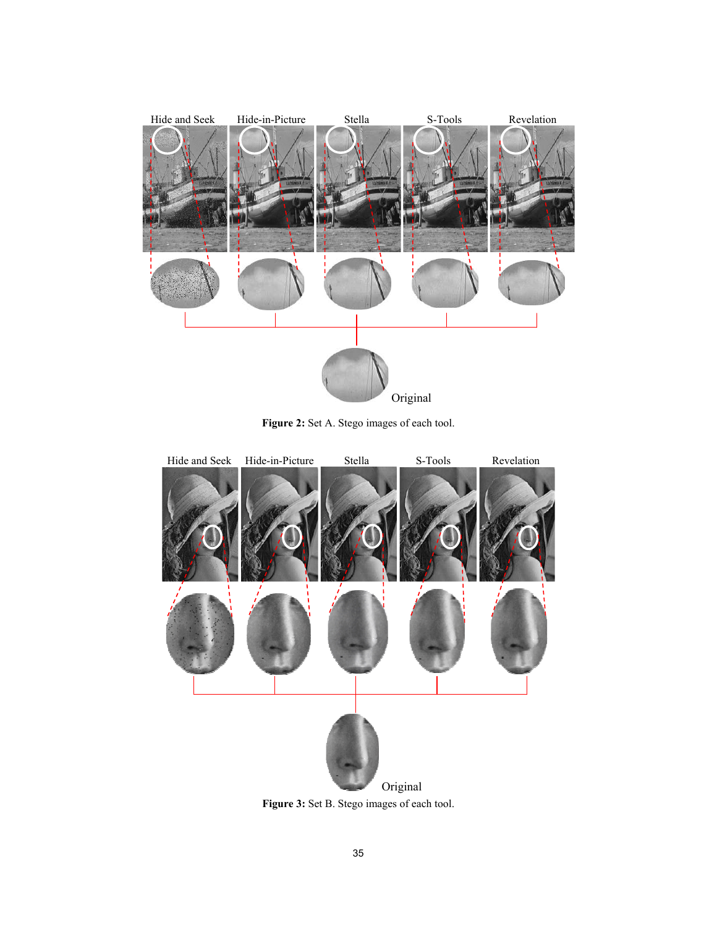

Figure 2: Set A. Stego images of each tool.



Figure 3: Set B. Stego images of each tool.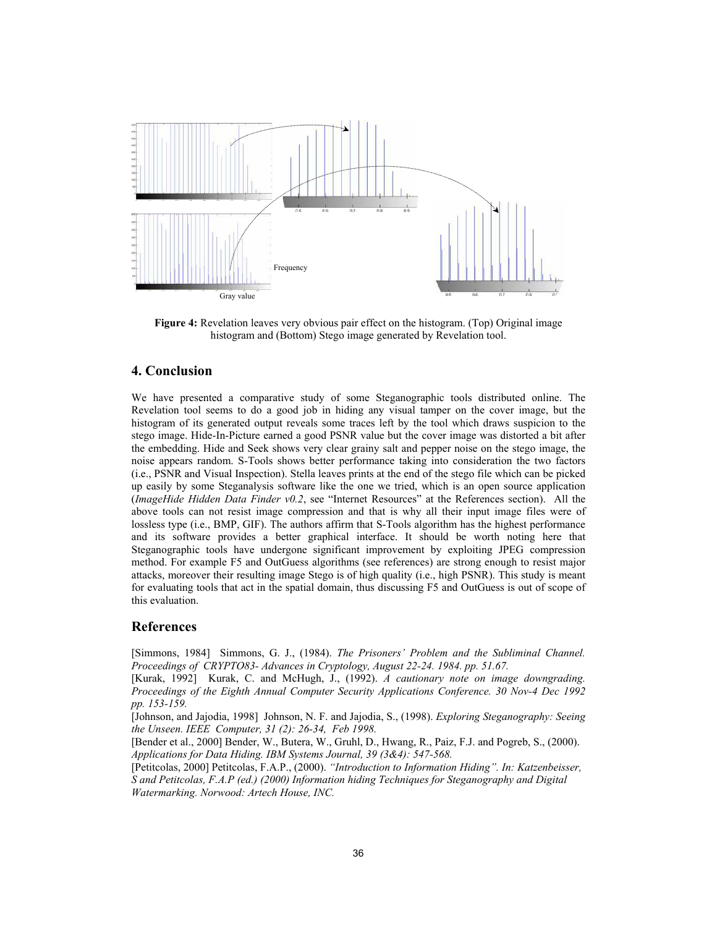

Figure 4: Revelation leaves very obvious pair effect on the histogram. (Top) Original image histogram and (Bottom) Stego image generated by Revelation tool.

# **4. Conclusion**

We have presented a comparative study of some Steganographic tools distributed online. The Revelation tool seems to do a good job in hiding any visual tamper on the cover image, but the histogram of its generated output reveals some traces left by the tool which draws suspicion to the stego image. Hide-In-Picture earned a good PSNR value but the cover image was distorted a bit after the embedding. Hide and Seek shows very clear grainy salt and pepper noise on the stego image, the noise appears random. S-Tools shows better performance taking into consideration the two factors (i.e., PSNR and Visual Inspection). Stella leaves prints at the end of the stego file which can be picked up easily by some Steganalysis software like the one we tried, which is an open source application (*ImageHide Hidden Data Finder v0.2*, see "Internet Resources" at the References section). All the above tools can not resist image compression and that is why all their input image files were of lossless type (i.e., BMP, GIF). The authors affirm that S-Tools algorithm has the highest performance and its software provides a better graphical interface. It should be worth noting here that Steganographic tools have undergone significant improvement by exploiting JPEG compression method. For example F5 and OutGuess algorithms (see references) are strong enough to resist major attacks, moreover their resulting image Stego is of high quality (i.e., high PSNR). This study is meant for evaluating tools that act in the spatial domain, thus discussing F5 and OutGuess is out of scope of this evaluation.

# **References**

[Simmons, 1984] Simmons, G. J., (1984). *The Prisoners' Problem and the Subliminal Channel. Proceedings of CRYPTO83- Advances in Cryptology, August 22-24. 1984. pp. 51.67.*

[Kurak, 1992] Kurak, C. and McHugh, J., (1992). *A cautionary note on image downgrading. Proceedings of the Eighth Annual Computer Security Applications Conference. 30 Nov-4 Dec 1992 pp. 153-159.*

[Johnson, and Jajodia, 1998] Johnson, N. F. and Jajodia, S., (1998). *Exploring Steganography: Seeing the Unseen. IEEE Computer, 31 (2): 26-34, Feb 1998.*

[Bender et al., 2000] Bender, W., Butera, W., Gruhl, D., Hwang, R., Paiz, F.J. and Pogreb, S., (2000). *Applications for Data Hiding. IBM Systems Journal, 39 (3&4): 547-568.*

[Petitcolas, 2000] Petitcolas, F.A.P., (2000). *"Introduction to Information Hiding". In: Katzenbeisser, S and Petitcolas, F.A.P (ed.) (2000) Information hiding Techniques for Steganography and Digital Watermarking. Norwood: Artech House, INC.*